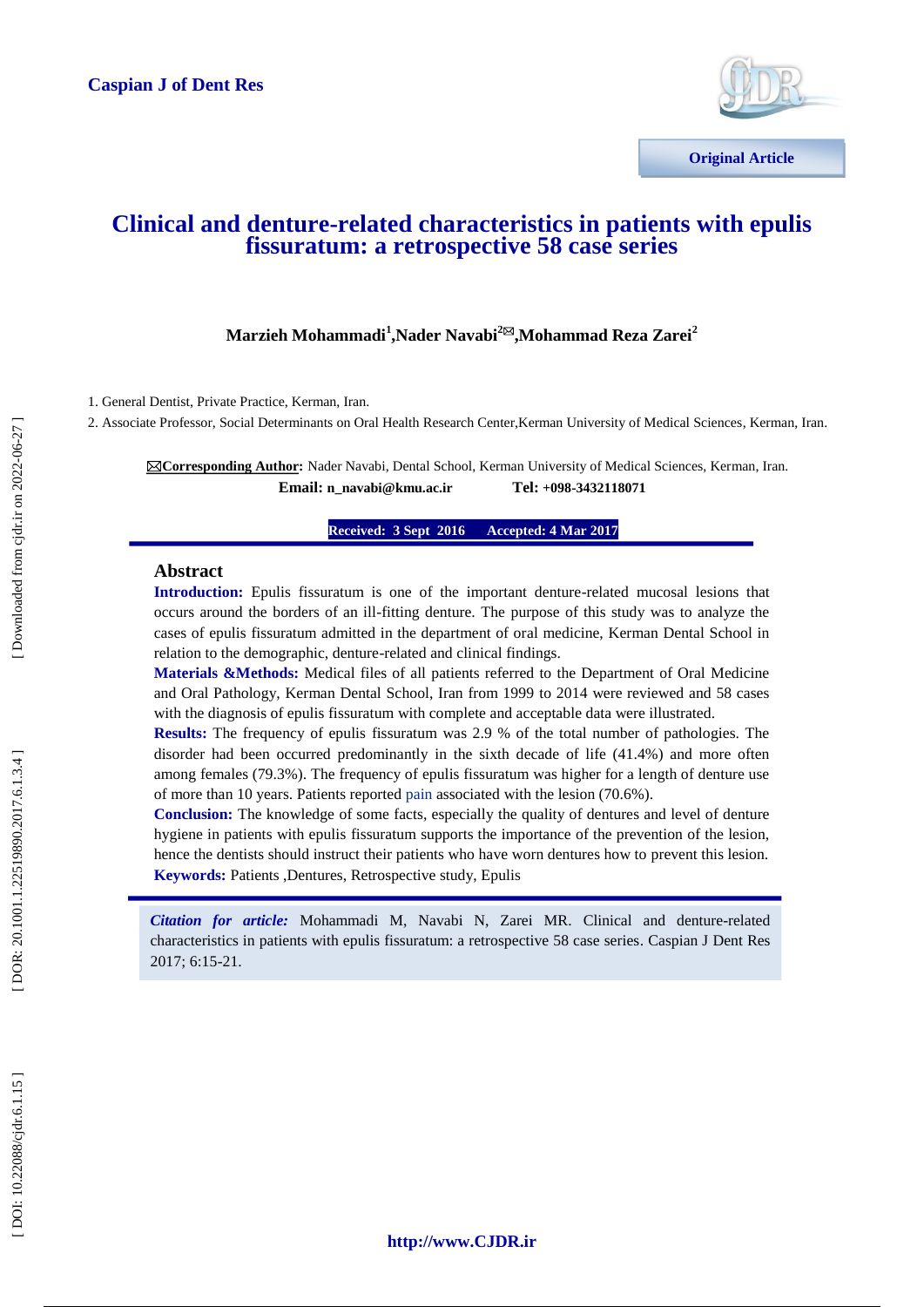

# **Clinical and denture -related characteristics in patients with epulis fissuratum: a retrospective 58 case [series](http://www.ncbi.nlm.nih.gov/pubmed/26549473)**

## $\mathbf{M}$ arzieh Mohammadi<sup>1</sup>,Nader Navabi<sup>2⊠</sup>,Mohammad Reza Zarei<sup>2</sup>

1. General Dentist, Private Practice, Kerman, Iran.

2. Associate Professor, Social Determinants on Oral Health Research Center,Kerman University of Medical Sciences, Kerman, Iran.

**Corresponding Author:** Nader Navabi, Dental School, Kerman University of Medical Sciences, Kerman, Iran. **Email: n\_navabi@kmu.ac.ir +098 -3432118071**

> **Received: 3 Sept 201ce Received: 3 Sept 201 Accepted: 4 Mar 2017**

### **Abstract**

**Introduction:** Epulis fissuratum is one of the important denture -related mucosal lesions that occurs around the borders of an ill -fitting denture. The purpose of this study was to analyze the cases of epulis fissuratum admitted in the department of oral medicine, Kerman Dental School in relation to the demographic, denture -related and clinical findings.

**Materials &Methods:** Medical files of all patients referred to the Department of Oral Medicine and Oral Pathology, Kerman Dental School, Iran from 1999 to 2014 were reviewed and 58 cases with the diagnosis of epulis fissuratum with complete and acceptable data were illustrated.

**Results:** The frequency of epulis fissuratum was 2.9 % of the total number of pathologies. The disorder had been occurred predominantly in the sixth decade of life (41.4%) and more often among females (79.3%). The frequency of epulis fissuratum was higher for a length of denture use of more than 10 years. Patients reported pain associated with the lesion (70.6%).

**Conclusion:** The knowledge of some facts, especially the quality of dentures and level of denture hygiene in patients with epulis fissuratum supports the importance of the prevention of the lesion, hence the dentists should instruct their patients who have worn dentures how to prevent this lesion. **Keywords:** Patients ,Dentures, Retrospective study, Epulis

*Citation for article:* Mohammadi M, Navabi N, Zarei MR. Clinical and denture -related characteristics in patients with epulis fissuratum: a retrospective 58 case series . Caspian J Dent Res 2017; 6:15 -21.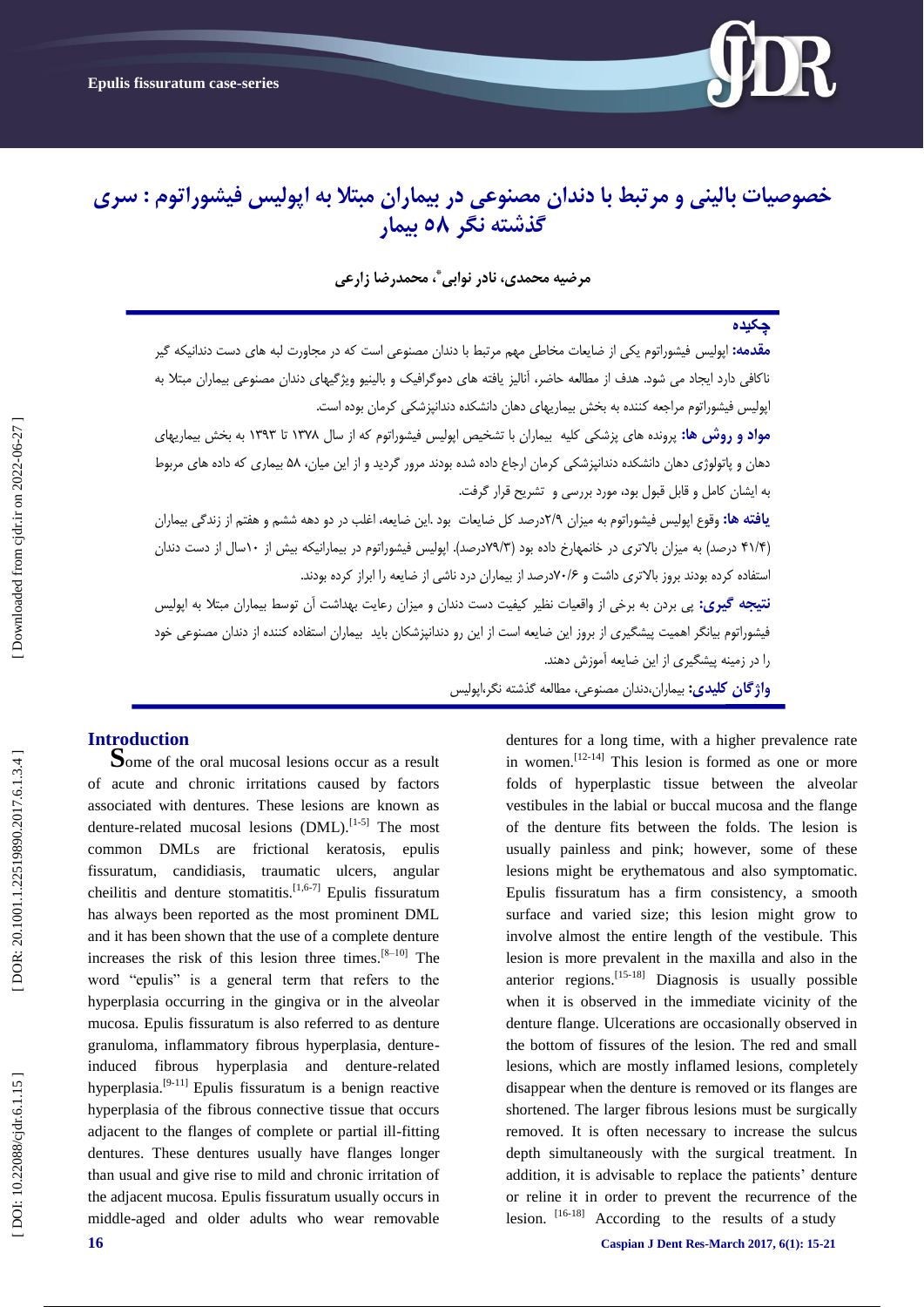

# **خصوصیات بالینی و مزتبط با دندان مصنوعی در بیماران مبتال به اپولیس فیشوراتوم : سزی گذشته نگز 85 بیمار**

**مزضیه محمدی، نادر نوابی ، محمدرضا سارعی \***

## **چکیده**

**مقدمه:** اپولیس فیشوراتوم یکی از ضایعات مخاطی مهم مرتبط با دندان مصنوعی است که در مجاورت لبه های دست دندانیکه گیر ناکافی دارد ایجاد می شود. هدف از مطالعِه حاضر، آنالیز یافته های دموگرافیک و بالینیو ویژگیهای دندان مصنوعی بیماران مبتلا به اپولیس فیشوراتوم مراجعه کننده به بخش بیماریهای دهان دانشکده دندانپزشکی کرمان بوده است.

مو**اد و روش ها:** پزونده هاى پزشکی کلیه بیماران با تشخیص اپولیس فیشوراتوم که از سال ۱۳۷۸ تا ۱۳۹۳ به بخش بیماریهای دهان و پاتولوژى دهان دانشکده دندانپزشکی کرمان ارجاع داده شده بودند مرور گردید و از این میان، ۵۸ بیماری که داده های مربوط بِ ایشاى کاهل ٍ قابل قبَل بَد، هَرد بزرسی ٍ تشزیح قزار گزفت.

**یافته ها:** وقوع اپولیس فیشوراتوم به میزان ۲/۹درصد کل ضایعات بود .این ضایعه، اغلب در دو دهه ششم و هفتم از زندگی بیماران (۴۱/۴ درصد) به میزان بالاتری در خانمهارخ داده بود (۷۹/۳درصد). اپولیس فیشوراتوم در بیمارانیکه بیش از ۱۰سال از دست دندان استفاده کرده بودند بروز بالاتری داشت و ۷۰/۶درصد از بیماران درد ناشی از ضایعه را ابراز کرده بودند.

**نتیجه گیری:** پی بردن بِه برخی از واقعیات نظیر کیفیت دست دندان و میزان رعایت بهداشت آن توسط بیماران مبتلا بِه اپولیس فیشوراتوم بیانگر اهمیت پیشگیری از بروز این ضایعه است از این رو دندانپزشکان باید بیماران استفاده کننده از دندان مصنوعی خود<br>را در زمینه پیشگیری از این ضایعه آموزش دهند.

**واژگان كلیدی:** بیماران،دندان مصنوعی، مطالعه گذشته نگر،اپولیس

**Introduction**<br>**Some of the oral mucosal lesions occur as a result** of acute and chronic irritations caused by factors associated with dentures. These lesions are known as denture-related mucosal lesions (DML).<sup>[1-5]</sup> The most common DMLs are frictional keratosis, epulis fissuratum, candidiasis, traumatic ulcers, angular cheilitis and denture stomatitis.<sup>[1,6-7]</sup> Epulis fissuratum has always been reported as the most prominent DML and it has been shown that the use of a complete denture increases the risk of this lesion three times.<sup>[8-10]</sup> The word "epulis" is a general term that refers to the hyperplasia occurring in the gingiva or in the alveolar mucosa. Epulis fissuratum is also referred to as denture granuloma, inflammatory fibrous hyperplasia, denture induced fibrous hyperplasia and denture -related hyperplasia.<sup>[9-11]</sup> Epulis fissuratum is a benign reactive hyperplasia of the fibrous connective tissue that occurs adjacent to the flanges of complete or partial ill -fitting dentures. These dentures usually have flanges longer than usual and give rise to mild and chronic irritation of the adjacent mucosa. Epulis fissuratum usually occurs in middle -aged and older adults who wear removable dentures for a long time, with a higher prevalence rate in women.<sup>[12-14]</sup> This lesion is formed as one or more folds of hyperplastic tissue between the alveolar vestibules in the labial or buccal mucosa and the flange of the denture fits between the folds. The lesion is usually painless and pink; however, some of these lesions might be erythematous and also symptomatic. Epulis fissuratum has a firm consistency, a smooth surface and varied size; this lesion might grow to involve almost the entire length of the vestibule. This lesion is more prevalent in the maxilla and also in the anterior regions.<sup>[15-18]</sup> Diagnosis is usually possible when it is observed in the immediate vicinity of the denture flange. Ulcerations are occasionally observed in the bottom of fissures of the lesion. The red and small lesions, which are mostly inflamed lesions, completely disappear when the denture is removed or its flanges are shortened. The larger fibrous lesions must be surgically removed. It is often necessary to increase the sulcus depth simultaneously with the surgical treatment. In addition, it is advisable to replace the patients' denture or reline it in order to prevent the recurrence of the lesion.  $[16-18]$  According to the results of a study

**16 Caspian J Dent Res-March** 2017, 6(1): 15-21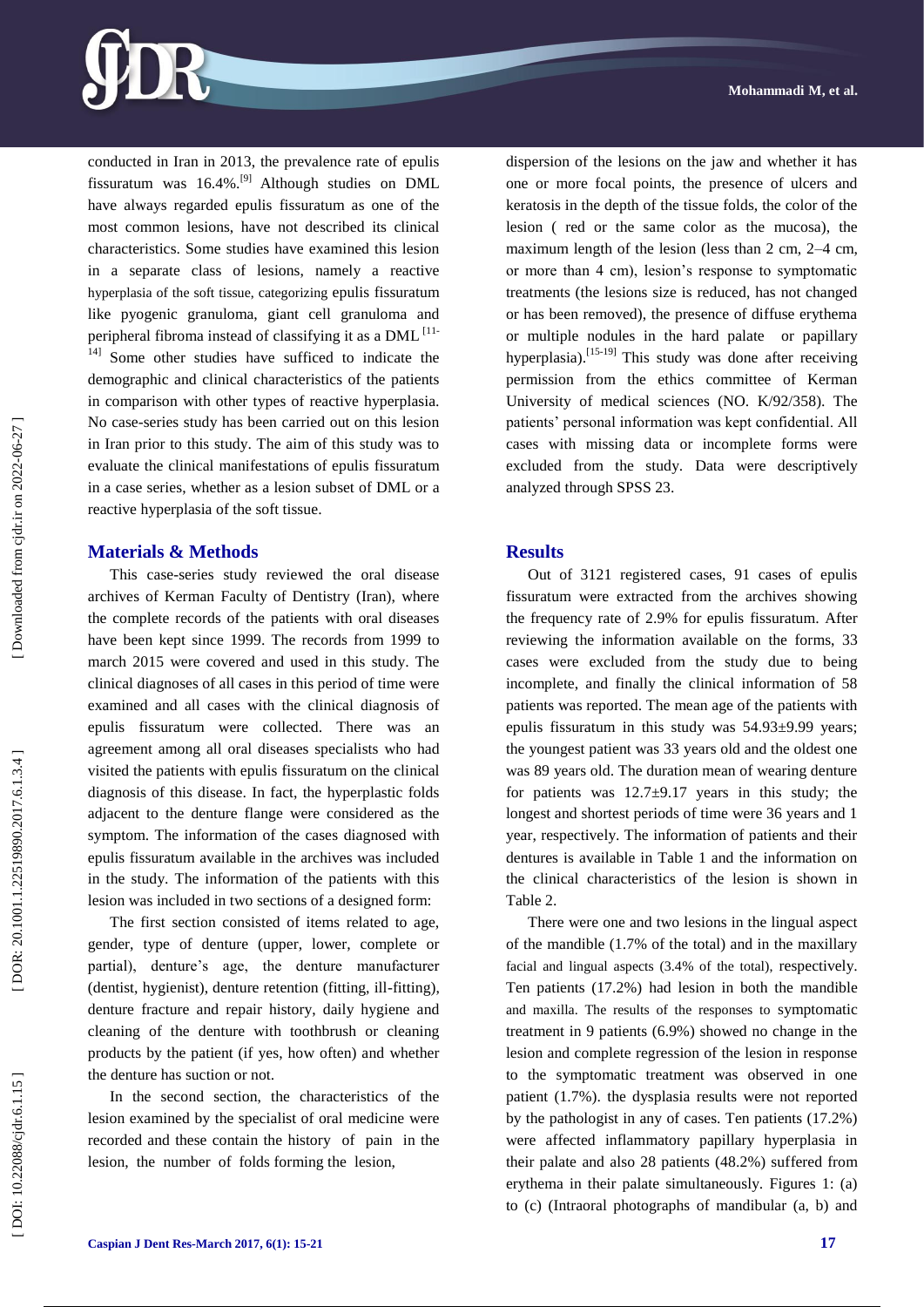

conducted in Iran in 2013, the prevalence rate of epulis fissuratum was 16.4%.[9] Although studies on DML have always regarded epulis fissuratum as one of the most common lesions, have not described its clinical characteristics. Some studies have examined this lesion in a separate class of lesions, namely a reactive hyperplasia of the soft tissue, categorizing epulis fissuratum like pyogenic granuloma, giant cell granuloma and peripheral fibroma instead of classifying it as a DML<sup>[11-</sup> 14] Some other studies have sufficed to indicate the demographic and clinical characteristics of the patients in comparison with other types of reactive hyperplasia. No case -series study has been carried out on this lesion in Iran prior to this study. The aim of this study was to evaluate the clinical manifestations of epulis fissuratum in a case series, whether as a lesion subset of DML or a reactive hyperplasia of the soft tissue .

### **Materials & Methods**

This case -series study reviewed the oral disease archives of Kerman Faculty of Dentistry (Iran), where the complete records of the patients with oral diseases have been kept since 1999. The records from 1999 to march 2015 were covered and used in this study. The clinical diagnoses of all cases in this period of time were examined and all cases with the clinical diagnosis of epulis fissuratum were collected. There was an agreement among all oral diseases specialists who had visited the patients with epulis fissuratum on the clinical diagnosis of this disease. In fact, the hyperplastic folds adjacent to the denture flange were considered as the symptom. The information of the cases diagnosed with epulis fissuratum available in the archives was included in the study. The information of the patients with this lesion was included in two sections of a designed form:

The first section consisted of items related to age, gender, type of denture (upper, lower, complete or partial), denture's age, the denture manufacturer (dentist, hygienist), denture retention (fitting, ill -fitting), denture fracture and repair history, daily hygiene and cleaning of the denture with toothbrush or cleaning products by the patient (if yes, how often) and whether the denture has suction or not.

In the second section, the characteristics of the lesion examined by the specialist of oral medicine were recorded and these contain the history of pain in the lesion, the number of folds forming the lesion,

dispersion of the lesions on the jaw and whether it has one or more focal points, the presence of ulcers and keratosis in the depth of the tissue folds, the color of the lesion ( red or the same color as the mucosa), the maximum length of the lesion (less than 2 cm, 2–4 cm, or more than 4 cm), lesion's response to symptomatic treatments (the lesions size is reduced, has not changed or has been removed), the presence of diffuse erythema or multiple nodules in the hard palate or papillary hyperplasia).<sup>[15-19]</sup> This study was done after receiving permission from the ethics committee of Kerman University of medical sciences (NO. K/92/358). The patients' personal information was kept confidential. All cases with missing data or incomplete forms were excluded from the study. Data were descriptively analyzed through SPSS 23.

### **Results**

Out of 3121 registered cases, 91 cases of epulis fissuratum were extracted from the archives showing the frequency rate of 2.9% for epulis fissuratum. After reviewing the information available on the forms, 33 cases were excluded from the study due to being incomplete, and finally the clinical information of 58 patients was reported. The mean age of the patients with epulis fissuratum in this study was 54.93±9.99 years; the youngest patient was 33 years old and the oldest one was 89 years old. The duration mean of wearing denture for patients was  $12.7\pm9.17$  years in this study; the longest and shortest periods of time were 36 years and 1 year, respectively. The information of patients and their dentures is available in Table 1 and the information on the clinical characteristics of the lesion is shown in Table 2.

There were one and two lesions in the lingual aspect of the mandible (1.7% of the total) and in the maxillary facial and lingual aspects (3.4% of the total), respectively. Ten patients (17.2%) had lesion in both the mandible and maxilla. The results of the responses to symptomatic treatment in 9 patients (6.9%) showed no change in the lesion and complete regression of the lesion in response to the symptomatic treatment was observed in one patient (1.7%). the dysplasia results were not reported by the pathologist in any of cases. Ten patients (17.2%) were affected inflammatory papillary hyperplasia in their palate and also 28 patients (48.2%) suffered from erythema in their palate simultaneously. Figures 1: (a) to (c) (Intraoral photographs of mandibular (a, b) and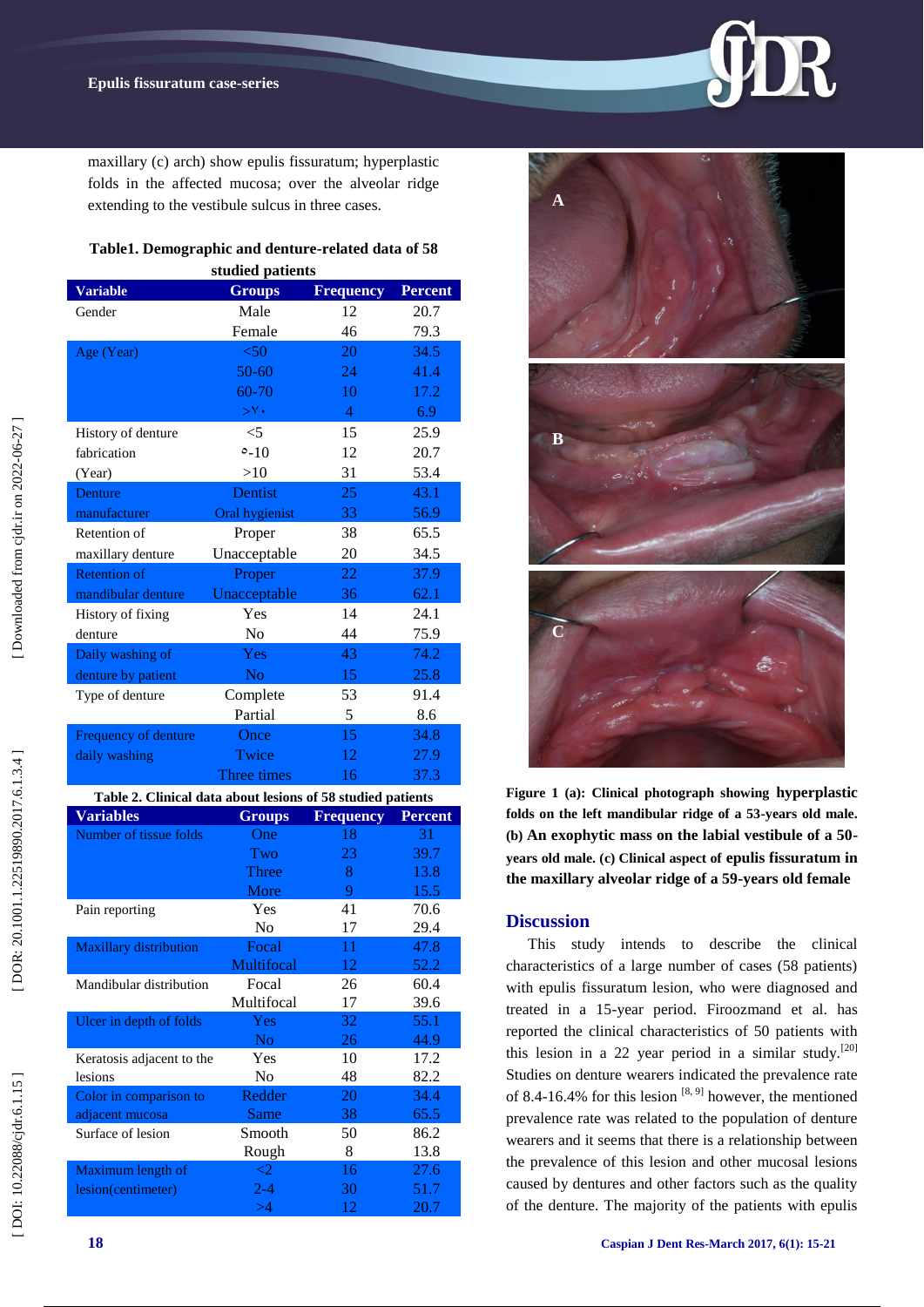maxillary (c) arch) show epulis fissuratum; hyperplastic folds in the affected mucosa; over the alveolar ridge extending to the vestibule sulcus in three cases.

# **Table1. Demographic and denture -related data of 58**

| studied patients                                            |                     |                  |                |
|-------------------------------------------------------------|---------------------|------------------|----------------|
| <b>Variable</b>                                             | <b>Groups</b>       | <b>Frequency</b> | <b>Percent</b> |
| Gender                                                      | Male                | 12               | 20.7           |
|                                                             | Female              | 46               | 79.3           |
| Age (Year)                                                  | < 50                | 20               | 34.5           |
|                                                             | $50 - 60$           | 24               | 41.4           |
|                                                             | 60-70               | 10               | 17.2           |
|                                                             | $>^{\vee}$          | $\overline{4}$   | 6.9            |
| History of denture                                          | $<$ 5               | 15               | 25.9           |
| fabrication                                                 | $0 - 10$            | 12               | 20.7           |
| (Year)                                                      | >10                 | 31               | 53.4           |
| Denture                                                     | Dentist             | 25               | 43.1           |
| manufacturer                                                | Oral hygienist      | 33               | 56.9           |
| Retention of                                                | Proper              | 38               | 65.5           |
| maxillary denture                                           | Unacceptable        | 20               | 34.5           |
| <b>Retention of</b>                                         | Proper              | 22               | 37.9           |
| mandibular denture                                          | Unacceptable        | 36               | 62.1           |
| History of fixing                                           | Yes                 | 14               | 24.1           |
| denture                                                     | No                  | 44               | 75.9           |
| Daily washing of                                            | Yes                 | 43               | 74.2           |
| denture by patient                                          | N <sub>o</sub>      | 15               | 25.8           |
|                                                             |                     | 53               | 91.4           |
| Type of denture                                             | Complete<br>Partial |                  |                |
|                                                             |                     | 5                | 8.6            |
| Frequency of denture                                        | Once                | 15               | 34.8           |
| daily washing                                               | Twice               | 12               | 27.9           |
|                                                             | Three times         | 16               | 37.3           |
| Table 2. Clinical data about lesions of 58 studied patients |                     |                  |                |
| <b>Variables</b>                                            | <b>Groups</b>       | <b>Frequency</b> | <b>Percent</b> |
| Number of tissue folds                                      | One<br>Two          | 18<br>23         | 31<br>39.7     |
|                                                             | Three               | 8                | 13.8           |
|                                                             | More                | 9                | 15.5           |
| Pain reporting                                              | Yes                 |                  |                |
|                                                             |                     |                  |                |
|                                                             |                     | 41               | 70.6           |
|                                                             | No                  | 17               | 29.4           |
| Maxillary distribution                                      | Focal<br>Multifocal | 11<br>12         | 47.8<br>52.2   |
| Mandibular distribution                                     | Focal               | 26               | 60.4           |
|                                                             | Multifocal          | 17               | 39.6           |
| Ulcer in depth of folds                                     | Yes                 | 32               | 55.1           |
|                                                             | No                  | 26               | 44.9           |
| Keratosis adjacent to the                                   | Yes                 | 10               | 17.2           |
| lesions                                                     | No                  | 48               | 82.2           |
| Color in comparison to                                      | Redder              | 20               | 34.4           |
| adjacent mucosa                                             | Same                | 38               | 65.5           |
| Surface of lesion                                           | Smooth              | 50               | 86.2           |
|                                                             | Rough               | 8                | 13.8           |
| Maximum length of                                           | $\overline{c}$      | 16               | 27.6           |
| lesion(centimeter)                                          | $2 - 4$<br>>4       | 30<br>12         | 51.7<br>20.7   |





**Figure 1 (a): Clinical photograph showing hyperplastic folds on the left mandibular ridge of a 53 -years old male. (b) An exophytic mass on the labial vestibule of a 50 years old male. (c) Clinical aspect of epulis fissuratum in the maxillary alveolar ridge of a 59 -years old female**

### **Discussion**

This study intends to describe the clinical characteristics of a large number of cases (58 patients) with epulis fissuratum lesion, who were diagnosed and treated in a 15 -year period. Firoozmand et al. has reported the clinical characteristics of 50 patients with this lesion in a 22 year period in a similar study.<sup>[20]</sup> Studies on denture wearers indicated the prevalence rate of 8.4-16.4% for this lesion  $[8, 9]$  however, the mentioned prevalence rate was related to the population of denture wearers and it seems that there is a relationship between the prevalence of this lesion and other mucosal lesions caused by dentures and other factors such as the quality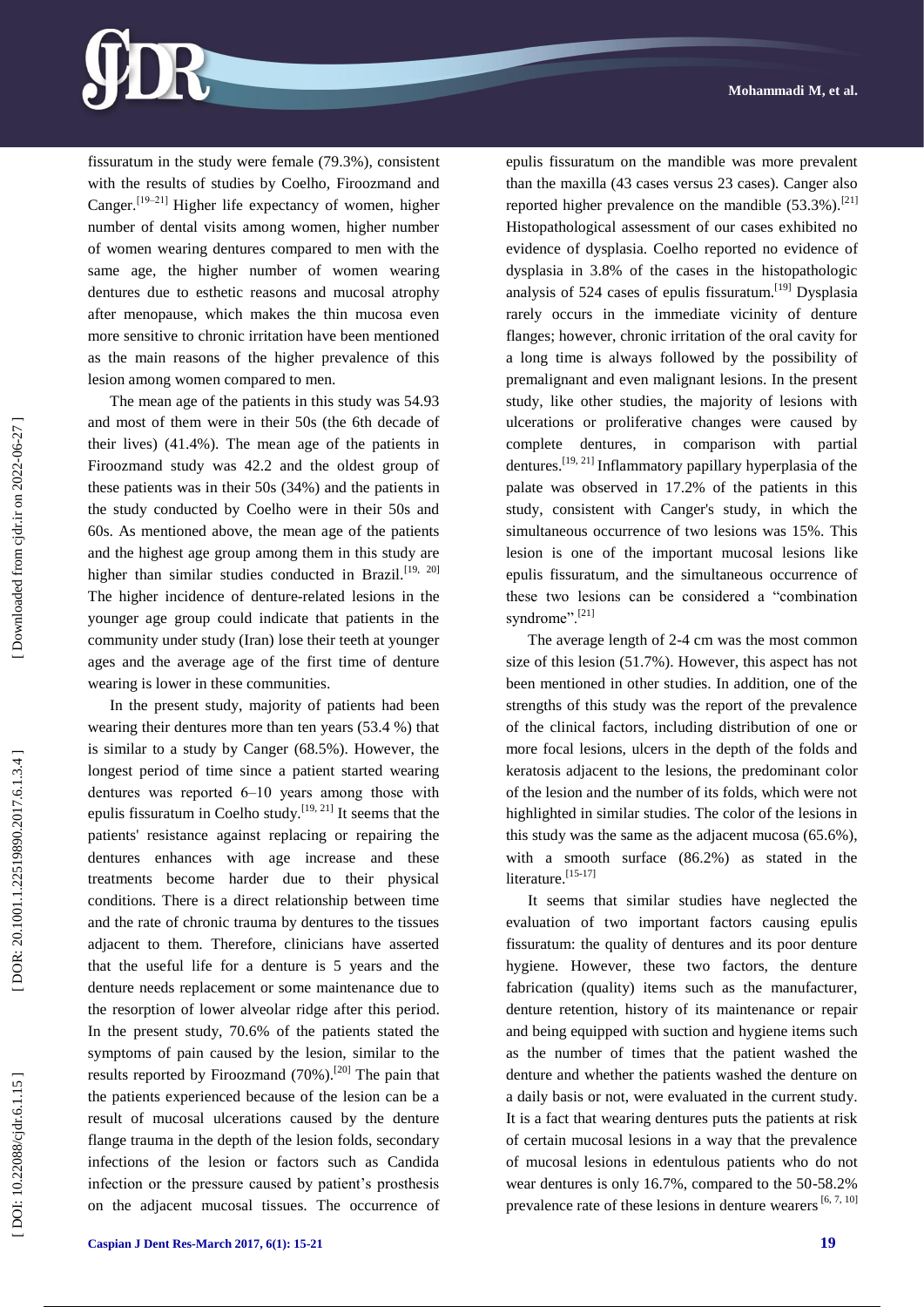

fissuratum in the study were female (79.3%), consistent with the results of studies by Coelho, Firoozmand and Canger.<sup>[19-21]</sup> Higher life expectancy of women, higher number of dental visits among women, higher number of women wearing dentures compared to men with the same age, the higher number of women wearing dentures due to esthetic reasons and mucosal atrophy after menopause, which makes the thin mucosa even more sensitive to chronic irritation have been mentioned as the main reasons of the higher prevalence of this lesion among women compared to men.

The mean age of the patients in this study was 54.93 and most of them were in their 50s (the 6th decade of their lives) (41.4%). The mean age of the patients in Firoozmand study was 42.2 and the oldest group of these patients was in their 50s (34%) and the patients in the study conducted by Coelho were in their 50s and 60s. As mentioned above, the mean age of the patients and the highest age group among them in this study are higher than similar studies conducted in Brazil.<sup>[19, 20]</sup> The higher incidence of denture-related lesions in the younger age group could indicate that patients in the community under study (Iran) lose their teeth at younger ages and the average age of the first time of denture wearing is lower in these communities.

In the present study, majority of patients had been wearing their dentures more than ten years (53.4 %) that is similar to a study by Canger (68.5%). However, the longest period of time since a patient started wearing dentures was reported 6–10 years among those with epulis fissuratum in Coelho study.<sup>[19, 21]</sup> It seems that the patients' resistance against replacing or repairing the dentures enhances with age increase and these treatments become harder due to their physical conditions. There is a direct relationship between time and the rate of chronic trauma by dentures to the tissues adjacent to them. Therefore, clinicians have asserted that the useful life for a denture is 5 years and the denture needs replacement or some maintenance due to the resorption of lower alveolar ridge after this period. In the present study, 70.6% of the patients stated the symptoms of pain caused by the lesion, similar to the results reported by Firoozmand (70%).<sup>[20]</sup> The pain that the patients experienced because of the lesion can be a result of mucosal ulcerations caused by the denture flange trauma in the depth of the lesion folds, secondary infections of the lesion or factors such as Candida infection or the pressure caused by patient's prosthesis on the adjacent mucosal tissues. The occurrence of epulis fissuratum on the mandible was more prevalent than the maxilla (43 cases versus 23 cases). Canger also reported higher prevalence on the mandible  $(53.3\%)$ .<sup>[21]</sup> Histopathological assessment of our cases exhibited no evidence of dysplasia. Coelho reported no evidence of dysplasia in 3.8% of the cases in the histopathologic analysis of 524 cases of epulis fissuratum.[19] Dysplasia rarely occurs in the immediate vicinity of denture flanges; however, chronic irritation of the oral cavity for a long time is always followed by the possibility of premalignant and even malignant lesions. In the present study, like other studies, the majority of lesions with ulcerations or proliferative changes were caused by complete dentures, in comparison with partial dentures.[19, 21] Inflammatory papillary hyperplasia of the palate was observed in 17.2% of the patients in this study, consistent with Canger's study, in which the simultaneous occurrence of two lesions was 15%. This lesion is one of the important mucosal lesions like epulis fissuratum, and the simultaneous occurrence of these two lesions can be considered a "combination syndrome".<sup>[21]</sup>

The average length of 2 -4 cm was the most common size of this lesion (51.7%). However, this aspect has not been mentioned in other studies. In addition, one of the strengths of this study was the report of the prevalence of the clinical factors, including distribution of one or more focal lesions, ulcers in the depth of the folds and keratosis adjacent to the lesions, the predominant color of the lesion and the number of its folds, which were not highlighted in similar studies. The color of the lesions in this study was the same as the adjacent mucosa (65.6%), with a smooth surface (86.2%) as stated in the literature.<sup>[15-17]</sup>

It seems that similar studies have neglected the evaluation of two important factors causing epulis fissuratum: the quality of dentures and its poor denture hygiene. However, these two factors, the denture fabrication (quality) items such as the manufacturer, denture retention, history of its maintenance or repair and being equipped with suction and hygiene items such as the number of times that the patient washed the denture and whether the patients washed the denture on a daily basis or not, were evaluated in the current study. It is a fact that wearing dentures puts the patients at risk of certain mucosal lesions in a way that the prevalence of mucosal lesions in edentulous patients who do not wear dentures is only 16.7%, compared to the 50 -58.2% prevalence rate of these lesions in denture wearers  $[6, 7, 10]$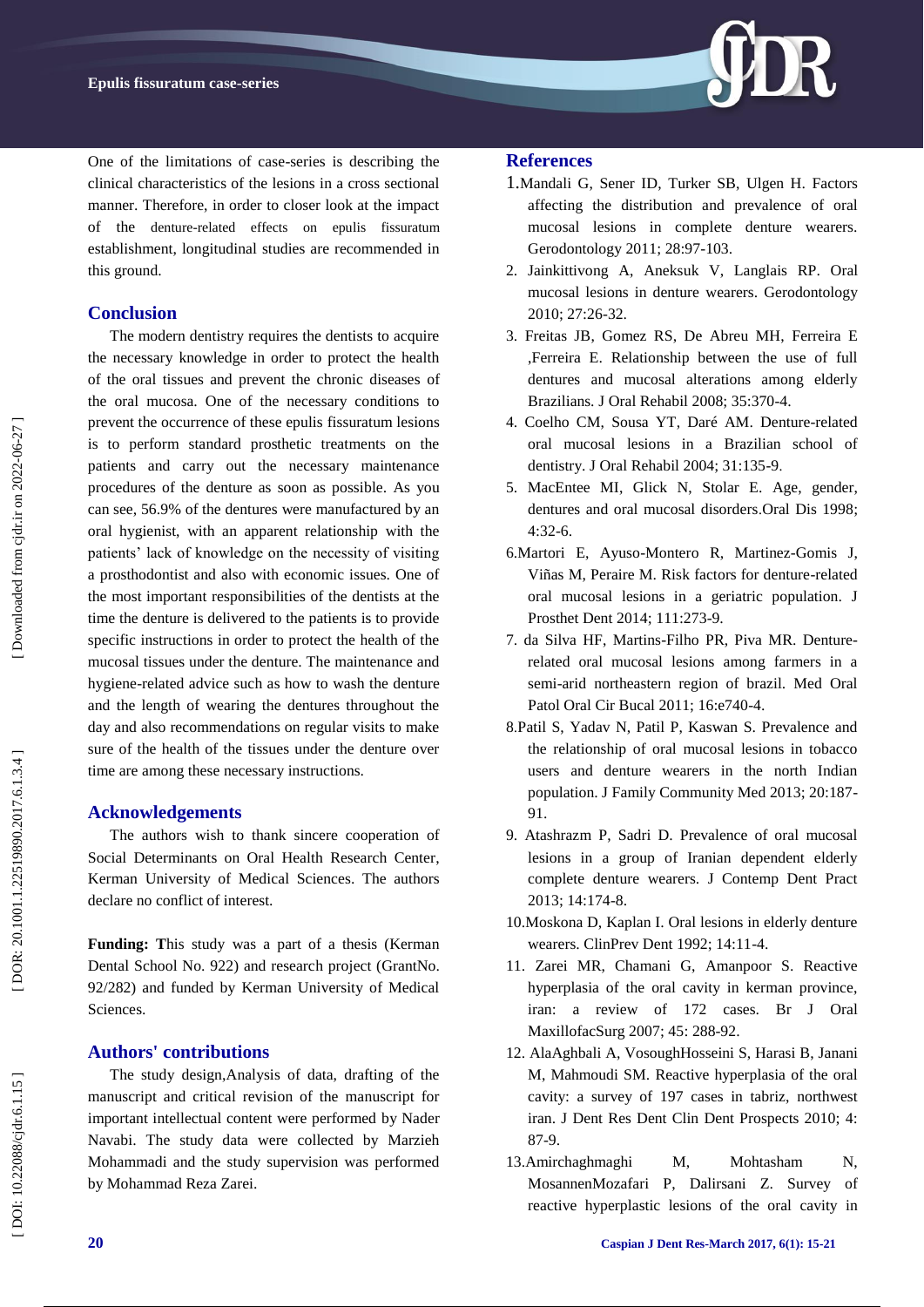

One of the limitations of case -series is describing the clinical characteristics of the lesions in a cross sectional manner. Therefore, in order to closer look at the impact of the denture -related effects on epulis fissuratum establishment, longitudinal studies are recommended in this ground.

## **Conclusion**

The modern dentistry requires the dentists to acquire the necessary knowledge in order to protect the health of the oral tissues and prevent the chronic diseases of the oral mucosa. One of the necessary conditions to prevent the occurrence of these epulis fissuratum lesions is to perform standard prosthetic treatments on the patients and carry out the necessary maintenance procedures of the denture as soon as possible. As you can see, 56.9% of the dentures were manufactured by an oral hygienist, with an apparent relationship with the patients' lack of knowledge on the necessity of visiting a prosthodontist and also with economic issues. One of the most important responsibilities of the dentists at the time the denture is delivered to the patients is to provide specific instructions in order to protect the health of the mucosal tissues under the denture. The maintenance and hygiene -related advice such as how to wash the denture and the length of wearing the dentures throughout the day and also recommendations on regular visits to make sure of the health of the tissues under the denture over time are among these necessary instructions.

### **Acknowledgement s**

The authors wish to thank sincere cooperation of Social Determinants on Oral Health Research Center, Kerman University of Medical Sciences. The authors declare no conflict of interest.

**Funding: T**his study was a part of a thesis (Kerman Dental School No. 922) and research project (GrantNo. 92/282) and funded by Kerman University of Medical Sciences.

### **Authors' contributions**

The study design,Analysis of data, drafting of the manuscript and critical revision of the manuscript for important intellectual content were performed by Nader Navabi. The study data were collected by Marzieh Mohammadi and the study supervision was performed by Mohammad Reza Zarei.

### **References**

- 1.[Mandali G,](https://www.ncbi.nlm.nih.gov/pubmed/?term=Mandali%20G%5BAuthor%5D&cauthor=true&cauthor_uid=20579108) [Sener ID,](https://www.ncbi.nlm.nih.gov/pubmed/?term=Sener%20ID%5BAuthor%5D&cauthor=true&cauthor_uid=20579108) [Turker SB,](https://www.ncbi.nlm.nih.gov/pubmed/?term=Turker%20SB%5BAuthor%5D&cauthor=true&cauthor_uid=20579108) [Ulgen H.](https://www.ncbi.nlm.nih.gov/pubmed/?term=Ulgen%20H%5BAuthor%5D&cauthor=true&cauthor_uid=20579108) Factors affecting the distribution and prevalence of oral mucosal lesions in complete denture wearers. [Gerodontology](http://www.ncbi.nlm.nih.gov/pubmed/20579108) 2011; 28:97 -103.
- 2. [Jainkittivong A,](https://www.ncbi.nlm.nih.gov/pubmed/?term=Jainkittivong%20A%5BAuthor%5D&cauthor=true&cauthor_uid=20461847) [Aneksuk V,](https://www.ncbi.nlm.nih.gov/pubmed/?term=Aneksuk%20V%5BAuthor%5D&cauthor=true&cauthor_uid=20461847) [Langlais RP.](https://www.ncbi.nlm.nih.gov/pubmed/?term=Langlais%20RP%5BAuthor%5D&cauthor=true&cauthor_uid=20461847) Oral mucosal lesions in denture wearers. [Gerodontology](http://www.ncbi.nlm.nih.gov/pubmed/20461847) 2010; 27:26 -32.
- 3. [Freitas JB,](https://www.ncbi.nlm.nih.gov/pubmed/?term=Freitas%20JB%5BAuthor%5D&cauthor=true&cauthor_uid=18405273) [Gomez RS,](https://www.ncbi.nlm.nih.gov/pubmed/?term=Gomez%20RS%5BAuthor%5D&cauthor=true&cauthor_uid=18405273) [De Abreu MH,](https://www.ncbi.nlm.nih.gov/pubmed/?term=De%20Abreu%20MH%5BAuthor%5D&cauthor=true&cauthor_uid=18405273) [Ferreira E](https://www.ncbi.nlm.nih.gov/pubmed/?term=Ferreira%20E%20Ferreira%20E%5BAuthor%5D&cauthor=true&cauthor_uid=18405273)  [,Ferreira E.](https://www.ncbi.nlm.nih.gov/pubmed/?term=Ferreira%20E%20Ferreira%20E%5BAuthor%5D&cauthor=true&cauthor_uid=18405273) Relationship between the use of full dentures and mucosal alterations among elderly Brazilians. [J Oral Rehabil](http://www.ncbi.nlm.nih.gov/pubmed/18405273) 2008; 35:370 -4.
- 4. [Coelho CM,](https://www.ncbi.nlm.nih.gov/pubmed/?term=Coelho%20CM%5BAuthor%5D&cauthor=true&cauthor_uid=15009597) [Sousa YT,](https://www.ncbi.nlm.nih.gov/pubmed/?term=Sousa%20YT%5BAuthor%5D&cauthor=true&cauthor_uid=15009597) [Daré AM.](https://www.ncbi.nlm.nih.gov/pubmed/?term=Dar%C3%A9%20AM%5BAuthor%5D&cauthor=true&cauthor_uid=15009597) Denture -related oral mucosal lesions in a Brazilian school of dentistry. J Oral Rehabil 2004; 31:135-9.
- 5. [MacEntee MI,](https://www.ncbi.nlm.nih.gov/pubmed/?term=MacEntee%20MI%5BAuthor%5D&cauthor=true&cauthor_uid=9655042) [Glick N,](https://www.ncbi.nlm.nih.gov/pubmed/?term=Glick%20N%5BAuthor%5D&cauthor=true&cauthor_uid=9655042) [Stolar E.](https://www.ncbi.nlm.nih.gov/pubmed/?term=Stolar%20E%5BAuthor%5D&cauthor=true&cauthor_uid=9655042) Age, gender, dentures and oral mucosal disorders .Oral Dis 1998; 4:32 -6.
- 6.Martori E, Ayuso -Montero R, Martinez -Gomis J, Viñas M, Peraire M. Risk factors for denture -related oral mucosal lesions in a geriatric population. [J](https://www.ncbi.nlm.nih.gov/pubmed/?term=Martori+E%2C+Ayuso-Montero+R%2C+Martinez-Gomis+J%2C+Vi%C3%B1as+M%2C+Peraire+M.+Risk+factors+for+denture-related+oral+mucosal+lesions+in+a+geriatric+population.+J+Prosthet+Dent+2014)  [Prosthet Dent](https://www.ncbi.nlm.nih.gov/pubmed/?term=Martori+E%2C+Ayuso-Montero+R%2C+Martinez-Gomis+J%2C+Vi%C3%B1as+M%2C+Peraire+M.+Risk+factors+for+denture-related+oral+mucosal+lesions+in+a+geriatric+population.+J+Prosthet+Dent+2014) 2014; 111:273 -9.
- 7. da Silva HF, Martins -Filho PR, Piva MR. Denture related oral mucosal lesions among farmers in a semi -arid northeastern region of brazil. Med Oral Patol Oral Cir Bucal 2011; 16:e740 -4.
- 8 .Patil S, Yadav N, Patil P, Kaswan S. Prevalence and the relationship of oral mucosal lesions in tobacco users and denture wearers in the north Indian population. J Family Community Med 2013; 20:187 - 91.
- 9. Atashrazm P, Sadri D. Prevalence of oral mucosal lesions in a group of Iranian dependent elderly complete denture wearers. J Contemp Dent Pract 2013; 14:174 -8.
- 10.Moskona D, Kaplan I. Oral lesions in elderly denture wearers. ClinPrev Dent 1992; 14:11 -4.
- 11. Zarei MR, Chamani G, Amanpoor S. Reactive hyperplasia of the oral cavity in kerman province, iran: a review of 172 cases. Br J Oral MaxillofacSurg 2007; 45: 288 -92.
- 12. [AlaAghbali A,](https://www.ncbi.nlm.nih.gov/pubmed/?term=Ala%20Aghbali%20A%5BAuthor%5D&cauthor=true&cauthor_uid=22991605) [VosoughHosseini S,](https://www.ncbi.nlm.nih.gov/pubmed/?term=Vosough%20Hosseini%20S%5BAuthor%5D&cauthor=true&cauthor_uid=22991605) Harasi B, Janani M, Mahmoudi SM. Reactive hyperplasia of the oral cavity: a survey of 197 cases in tabriz, northwest iran. J Dent Res Dent Clin Dent Prospects 2010; 4: 87 -9.
- 13.Amirchaghmaghi M, Mohtasham N, MosannenMozafari P, Dalirsani Z. Survey of reactive hyperplastic lesions of the oral cavity in